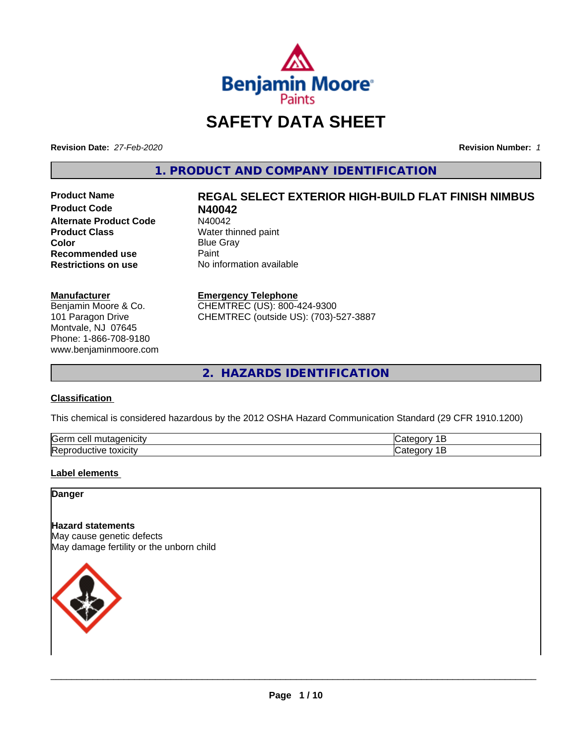

## **SAFETY DATA SHEET**

**Revision Date:** *27-Feb-2020* **Revision Number:** *1*

**1. PRODUCT AND COMPANY IDENTIFICATION**

**Product Code 1988**<br>**Alternate Product Code** N40042 **Alternate Product Code**<br>Product Class **Color**<br> **Recommended use**<br> **Paint Recommended use**<br>Restrictions on use

# **Product Name REGAL SELECT EXTERIOR HIGH-BUILD FLAT FINISH NIMBUS**

**Water thinned paint No information available** 

#### **Manufacturer**

Benjamin Moore & Co. 101 Paragon Drive Montvale, NJ 07645 Phone: 1-866-708-9180 www.benjaminmoore.com

#### **Emergency Telephone**

CHEMTREC (US): 800-424-9300 CHEMTREC (outside US): (703)-527-3887

**2. HAZARDS IDENTIFICATION**

#### **Classification**

This chemical is considered hazardous by the 2012 OSHA Hazard Communication Standard (29 CFR 1910.1200)

| Gern<br>$\sim$ $\sim$ $\sim$<br>utac<br>cell<br>ш.<br>пыс |  |
|-----------------------------------------------------------|--|
| lRer<br>.<br>м<br><b>LOXICITV</b>                         |  |

#### **Label elements**

**Danger**

## **Hazard statements**

May cause genetic defects May damage fertility or the unborn child

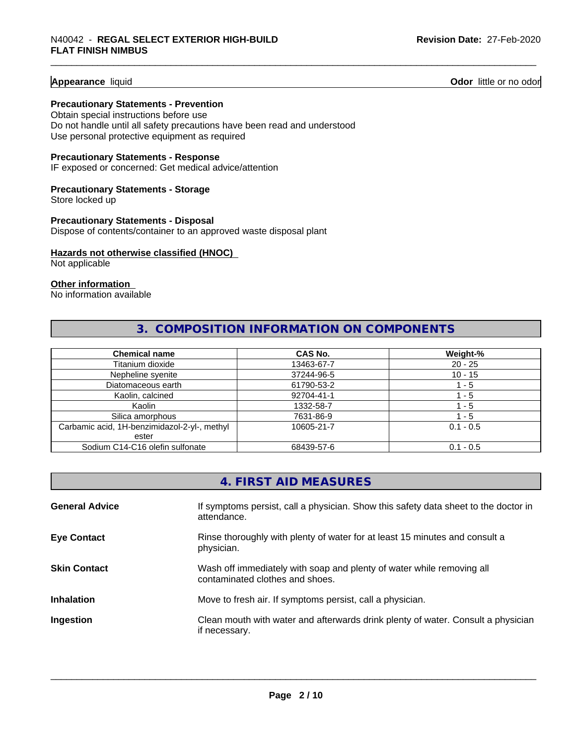#### **Appearance** liquid

**Odor** little or no odor

#### **Precautionary Statements - Prevention**

Obtain special instructions before use Do not handle until all safety precautions have been read and understood Use personal protective equipment as required

#### **Precautionary Statements - Response**

IF exposed or concerned: Get medical advice/attention

## **Precautionary Statements - Storage**

Store locked up

#### **Precautionary Statements - Disposal** Dispose of contents/container to an approved waste disposal plant

#### **Hazards not otherwise classified (HNOC)**

Not applicable

#### **Other information**

No information available

## **3. COMPOSITION INFORMATION ON COMPONENTS**

| <b>Chemical name</b>                         | <b>CAS No.</b> | Weight-%    |
|----------------------------------------------|----------------|-------------|
| Titanium dioxide                             | 13463-67-7     | $20 - 25$   |
| Nepheline syenite                            | 37244-96-5     | $10 - 15$   |
| Diatomaceous earth                           | 61790-53-2     | - 5         |
| Kaolin, calcined                             | 92704-41-1     | 1 - 5       |
| Kaolin                                       | 1332-58-7      | l - 5       |
| Silica amorphous                             | 7631-86-9      | - 5         |
| Carbamic acid, 1H-benzimidazol-2-yl-, methyl | 10605-21-7     | $0.1 - 0.5$ |
| ester                                        |                |             |
| Sodium C14-C16 olefin sulfonate              | 68439-57-6     | $0.1 - 0.5$ |

## **4. FIRST AID MEASURES**

| <b>General Advice</b> | If symptoms persist, call a physician. Show this safety data sheet to the doctor in<br>attendance.       |
|-----------------------|----------------------------------------------------------------------------------------------------------|
| <b>Eye Contact</b>    | Rinse thoroughly with plenty of water for at least 15 minutes and consult a<br>physician.                |
| <b>Skin Contact</b>   | Wash off immediately with soap and plenty of water while removing all<br>contaminated clothes and shoes. |
| <b>Inhalation</b>     | Move to fresh air. If symptoms persist, call a physician.                                                |
| Ingestion             | Clean mouth with water and afterwards drink plenty of water. Consult a physician<br>if necessary.        |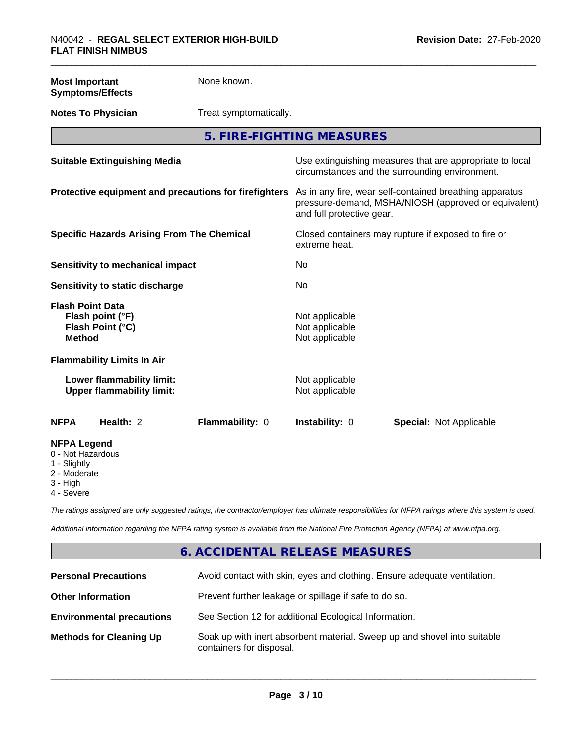**Most Important Symptoms/Effects** None known.

**Notes To Physician** Treat symptomatically.

**5. FIRE-FIGHTING MEASURES**

| <b>Suitable Extinguishing Media</b>                                              | Use extinguishing measures that are appropriate to local<br>circumstances and the surrounding environment.                                   |  |  |
|----------------------------------------------------------------------------------|----------------------------------------------------------------------------------------------------------------------------------------------|--|--|
| Protective equipment and precautions for firefighters                            | As in any fire, wear self-contained breathing apparatus<br>pressure-demand, MSHA/NIOSH (approved or equivalent)<br>and full protective gear. |  |  |
| <b>Specific Hazards Arising From The Chemical</b>                                | Closed containers may rupture if exposed to fire or<br>extreme heat.                                                                         |  |  |
| Sensitivity to mechanical impact                                                 | No                                                                                                                                           |  |  |
| Sensitivity to static discharge                                                  | No                                                                                                                                           |  |  |
| <b>Flash Point Data</b><br>Flash point (°F)<br>Flash Point (°C)<br><b>Method</b> | Not applicable<br>Not applicable<br>Not applicable                                                                                           |  |  |
| <b>Flammability Limits In Air</b>                                                |                                                                                                                                              |  |  |
| Lower flammability limit:<br><b>Upper flammability limit:</b>                    | Not applicable<br>Not applicable                                                                                                             |  |  |
| Health: 2<br>Flammability: 0<br><b>NFPA</b>                                      | <b>Instability: 0</b><br><b>Special: Not Applicable</b>                                                                                      |  |  |
| <b>NFPA Legend</b><br>0 - Not Hazardous<br>1 - Slightly                          |                                                                                                                                              |  |  |

2 - Moderate

3 - High

4 - Severe

*The ratings assigned are only suggested ratings, the contractor/employer has ultimate responsibilities for NFPA ratings where this system is used.*

*Additional information regarding the NFPA rating system is available from the National Fire Protection Agency (NFPA) at www.nfpa.org.*

## **6. ACCIDENTAL RELEASE MEASURES**

| <b>Personal Precautions</b>      | Avoid contact with skin, eyes and clothing. Ensure adequate ventilation.                             |
|----------------------------------|------------------------------------------------------------------------------------------------------|
| <b>Other Information</b>         | Prevent further leakage or spillage if safe to do so.                                                |
| <b>Environmental precautions</b> | See Section 12 for additional Ecological Information.                                                |
| <b>Methods for Cleaning Up</b>   | Soak up with inert absorbent material. Sweep up and shovel into suitable<br>containers for disposal. |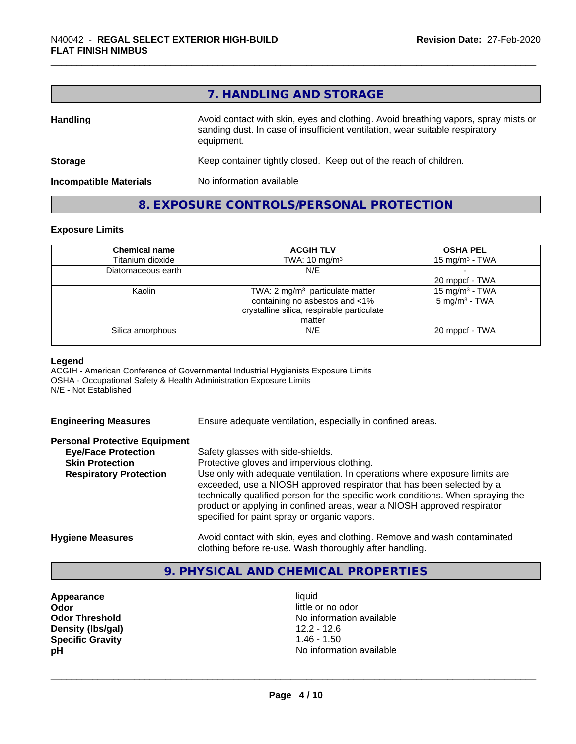| 7. HANDLING AND STORAGE                                                                                                                                                          |
|----------------------------------------------------------------------------------------------------------------------------------------------------------------------------------|
| Avoid contact with skin, eyes and clothing. Avoid breathing vapors, spray mists or<br>sanding dust. In case of insufficient ventilation, wear suitable respiratory<br>equipment. |
| Keep container tightly closed. Keep out of the reach of children.                                                                                                                |
| No information available                                                                                                                                                         |
|                                                                                                                                                                                  |

## **8. EXPOSURE CONTROLS/PERSONAL PROTECTION**

#### **Exposure Limits**

| <b>Chemical name</b> | <b>ACGIH TLV</b>                           | <b>OSHA PEL</b>          |  |
|----------------------|--------------------------------------------|--------------------------|--|
| Titanium dioxide     | TWA: $10 \text{ mg/m}^3$                   | 15 mg/m $3$ - TWA        |  |
| Diatomaceous earth   | N/E                                        |                          |  |
|                      |                                            | 20 mppcf - TWA           |  |
| Kaolin               | TWA: $2 \text{ mg/m}^3$ particulate matter | 15 mg/m $3$ - TWA        |  |
|                      | containing no asbestos and <1%             | $5 \text{ mg/m}^3$ - TWA |  |
|                      | crystalline silica, respirable particulate |                          |  |
|                      | matter                                     |                          |  |
| Silica amorphous     | N/E                                        | 20 mppcf - TWA           |  |
|                      |                                            |                          |  |

#### **Legend**

ACGIH - American Conference of Governmental Industrial Hygienists Exposure Limits OSHA - Occupational Safety & Health Administration Exposure Limits N/E - Not Established

**Engineering Measures** Ensure adequate ventilation, especially in confined areas.

#### **Personal Protective Equipment**

| <b>Eye/Face Protection</b>    | Safety glasses with side-shields.                                                                                                                                                                                                                                                                                                                                   |
|-------------------------------|---------------------------------------------------------------------------------------------------------------------------------------------------------------------------------------------------------------------------------------------------------------------------------------------------------------------------------------------------------------------|
| <b>Skin Protection</b>        | Protective gloves and impervious clothing.                                                                                                                                                                                                                                                                                                                          |
| <b>Respiratory Protection</b> | Use only with adequate ventilation. In operations where exposure limits are<br>exceeded, use a NIOSH approved respirator that has been selected by a<br>technically qualified person for the specific work conditions. When spraying the<br>product or applying in confined areas, wear a NIOSH approved respirator<br>specified for paint spray or organic vapors. |
| <b>Hygiene Measures</b>       | Avoid contact with skin, eyes and clothing. Remove and wash contaminated<br>clothing before re-use. Wash thoroughly after handling.                                                                                                                                                                                                                                 |

## **9. PHYSICAL AND CHEMICAL PROPERTIES**

**Appearance** liquid **Odor** little or no odor **Density (lbs/gal)** 12.2 - 12.6<br> **Specific Gravity** 1.46 - 1.50 **Specific Gravity** 

**Odor Threshold** No information available **pH** No information available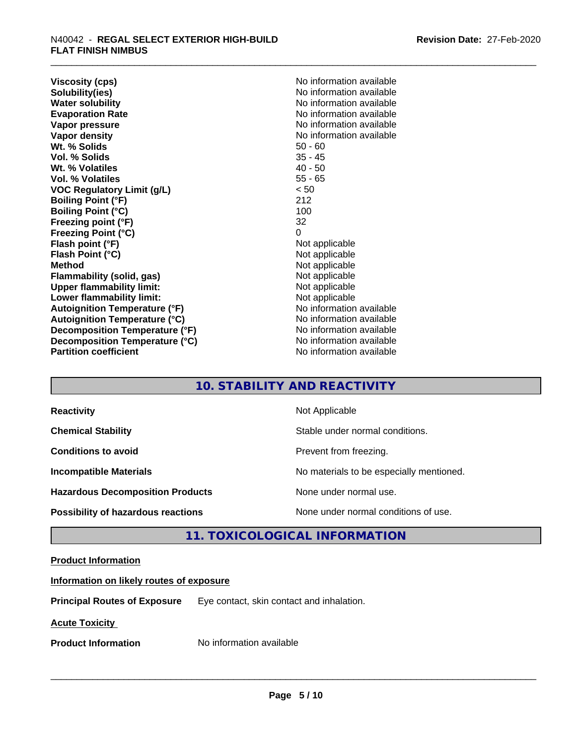**Viscosity (cps)** No information available<br> **Solubility(ies)** No information available **Solubility(ies)**<br> **No information available**<br> **Water solubility**<br> **Water solubility Evaporation Rate No information available No information available Vapor pressure** No information available in the North American Monte available in the North American available **Vapor density Vapor** density **Wt. % Solids** 50 - 60<br> **Vol. % Solids** 55 - 45 **Vol. % Solids** 35 - 45 **Wt. % Volatiles Vol. % Volatiles** 55 - 65 **VOC Regulatory Limit (g/L)** < 50 **Boiling Point (°F)** 212 **Boiling Point (°C)** 100<br> **Preezing point (°F)** 22 **Freezing point (°F) Freezing Point (°C)** 0 **Flash point (°F)**<br> **Flash Point (°C)**<br> **Flash Point (°C)**<br> **C Flash Point (°C) Method** Not applicable Not applicable **Flammability (solid, gas)**<br> **Upper flammability limit:**<br>
Upper flammability limit:<br>  $\begin{array}{ccc}\n\bullet & \bullet & \bullet \\
\bullet & \bullet & \bullet\n\end{array}$  Not applicable **Upper flammability limit: Lower flammability limit:** Not applicable **Autoignition Temperature (°F)** No information available **Autoignition Temperature (°C)** No information available **Decomposition Temperature (°F)** No information available **Decomposition Temperature (°C)**<br> **Partition coefficient**<br> **Partition coefficient**<br> **No** information available

**No information available No information available** 

## **10. STABILITY AND REACTIVITY**

| <b>Reactivity</b>                       | Not Applicable                           |
|-----------------------------------------|------------------------------------------|
| <b>Chemical Stability</b>               | Stable under normal conditions.          |
| <b>Conditions to avoid</b>              | Prevent from freezing.                   |
| <b>Incompatible Materials</b>           | No materials to be especially mentioned. |
| <b>Hazardous Decomposition Products</b> | None under normal use.                   |
| Possibility of hazardous reactions      | None under normal conditions of use.     |

## **11. TOXICOLOGICAL INFORMATION**

#### **Product Information**

#### **Information on likely routes of exposure**

**Principal Routes of Exposure** Eye contact, skin contact and inhalation.

**Acute Toxicity** 

**Product Information** No information available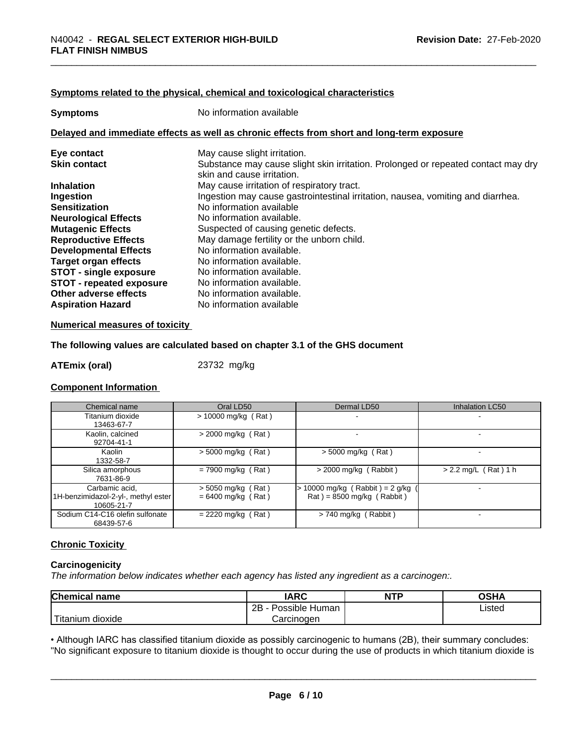#### **Symptoms related to the physical, chemical and toxicological characteristics**

| <b>Symptoms</b>                 | No information available                                                                                        |  |  |
|---------------------------------|-----------------------------------------------------------------------------------------------------------------|--|--|
|                                 | Delayed and immediate effects as well as chronic effects from short and long-term exposure                      |  |  |
| Eye contact                     | May cause slight irritation.                                                                                    |  |  |
| <b>Skin contact</b>             | Substance may cause slight skin irritation. Prolonged or repeated contact may dry<br>skin and cause irritation. |  |  |
| <b>Inhalation</b>               | May cause irritation of respiratory tract.                                                                      |  |  |
| Ingestion                       | Ingestion may cause gastrointestinal irritation, nausea, vomiting and diarrhea.                                 |  |  |
| <b>Sensitization</b>            | No information available                                                                                        |  |  |
| <b>Neurological Effects</b>     | No information available.                                                                                       |  |  |
| <b>Mutagenic Effects</b>        | Suspected of causing genetic defects.                                                                           |  |  |
| <b>Reproductive Effects</b>     | May damage fertility or the unborn child.                                                                       |  |  |
| <b>Developmental Effects</b>    | No information available.                                                                                       |  |  |
| <b>Target organ effects</b>     | No information available.                                                                                       |  |  |
| <b>STOT - single exposure</b>   | No information available.                                                                                       |  |  |
| <b>STOT - repeated exposure</b> | No information available.                                                                                       |  |  |
| Other adverse effects           | No information available.                                                                                       |  |  |
| <b>Aspiration Hazard</b>        | No information available                                                                                        |  |  |

#### **Numerical measures of toxicity**

#### **The following values are calculated based on chapter 3.1 of the GHS document**

| ATEmix (oral) | 23732 mg/kg |  |
|---------------|-------------|--|
|               |             |  |

#### **Component Information**

| Chemical name                                                       | Oral LD50                                    | Dermal LD50                                                                        | <b>Inhalation LC50</b> |
|---------------------------------------------------------------------|----------------------------------------------|------------------------------------------------------------------------------------|------------------------|
| Titanium dioxide<br>13463-67-7                                      | > 10000 mg/kg (Rat)                          |                                                                                    |                        |
| Kaolin, calcined<br>92704-41-1                                      | $>$ 2000 mg/kg (Rat)                         |                                                                                    |                        |
| Kaolin<br>1332-58-7                                                 | $>$ 5000 mg/kg (Rat)                         | $>$ 5000 mg/kg (Rat)                                                               |                        |
| Silica amorphous<br>7631-86-9                                       | $= 7900$ mg/kg (Rat)                         | $>$ 2000 mg/kg (Rabbit)                                                            | $> 2.2$ mg/L (Rat) 1 h |
| Carbamic acid,<br>1H-benzimidazol-2-yl-, methyl ester<br>10605-21-7 | $> 5050$ mg/kg (Rat)<br>$= 6400$ mg/kg (Rat) | > 10000 mg/kg (Rabbit) = 2 g/kg<br>$\text{Rat}$ ) = 8500 mg/kg ( $\text{Rabbit}$ ) |                        |
| Sodium C14-C16 olefin sulfonate<br>68439-57-6                       | $= 2220$ mg/kg (Rat)                         | $> 740$ mg/kg (Rabbit)                                                             |                        |

#### **Chronic Toxicity**

#### **Carcinogenicity**

*The information below indicateswhether each agency has listed any ingredient as a carcinogen:.*

| Chemical<br>∣ name     | <b>IARC</b>                   | <b>NTP</b> | OSHA        |
|------------------------|-------------------------------|------------|-------------|
|                        | .<br>2Β<br>⊩Human<br>Possible |            | Listed<br>. |
| n dioxide<br>l itanıum | Carcinoɑen                    |            |             |

• Although IARC has classified titanium dioxide as possibly carcinogenic to humans (2B), their summary concludes:<br>"No significant exposure to titanium dioxide is thought to occur during the use of products in which titaniu "No significant exposure to titanium dioxide is thought to occur during the use of products in which titanium dioxide is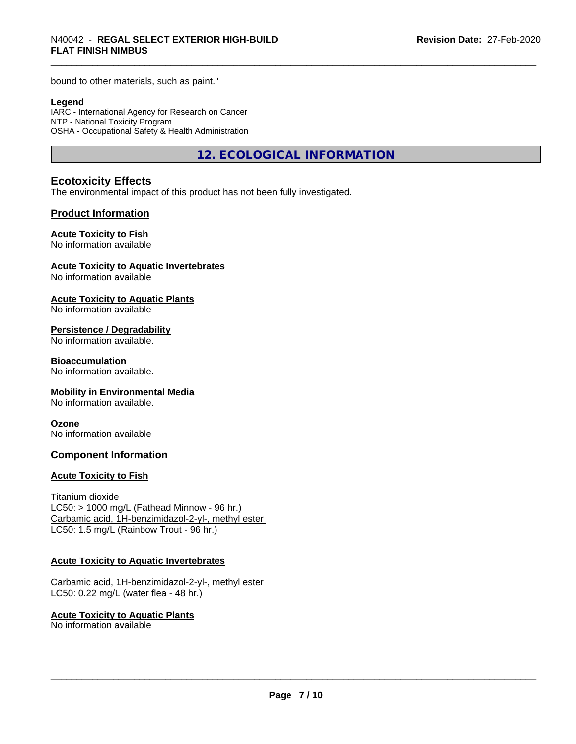bound to other materials, such as paint."

#### **Legend**

IARC - International Agency for Research on Cancer NTP - National Toxicity Program OSHA - Occupational Safety & Health Administration

**12. ECOLOGICAL INFORMATION**

## **Ecotoxicity Effects**

The environmental impact of this product has not been fully investigated.

#### **Product Information**

#### **Acute Toxicity to Fish**

No information available

#### **Acute Toxicity to Aquatic Invertebrates**

No information available

#### **Acute Toxicity to Aquatic Plants**

No information available

#### **Persistence / Degradability**

No information available.

#### **Bioaccumulation**

No information available.

#### **Mobility in Environmental Media**

No information available.

#### **Ozone**

No information available

#### **Component Information**

#### **Acute Toxicity to Fish**

#### Titanium dioxide

 $LC50:$  > 1000 mg/L (Fathead Minnow - 96 hr.) Carbamic acid, 1H-benzimidazol-2-yl-, methyl ester LC50: 1.5 mg/L (Rainbow Trout - 96 hr.)

#### **Acute Toxicity to Aquatic Invertebrates**

Carbamic acid, 1H-benzimidazol-2-yl-, methyl ester LC50: 0.22 mg/L (water flea - 48 hr.)

**Acute Toxicity to Aquatic Plants** No information available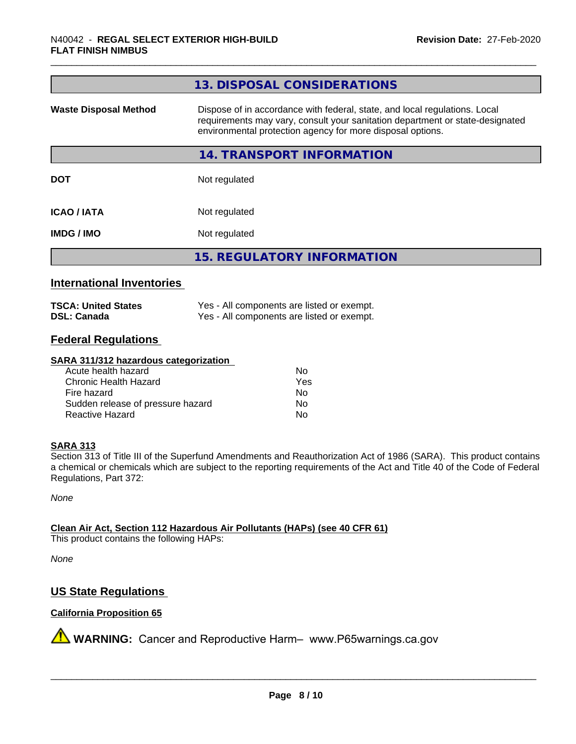|                              | 13. DISPOSAL CONSIDERATIONS                                                                                                                                                                                               |
|------------------------------|---------------------------------------------------------------------------------------------------------------------------------------------------------------------------------------------------------------------------|
| <b>Waste Disposal Method</b> | Dispose of in accordance with federal, state, and local regulations. Local<br>requirements may vary, consult your sanitation department or state-designated<br>environmental protection agency for more disposal options. |
|                              | 14. TRANSPORT INFORMATION                                                                                                                                                                                                 |
| <b>DOT</b>                   | Not regulated                                                                                                                                                                                                             |
| <b>ICAO/IATA</b>             | Not regulated                                                                                                                                                                                                             |
| <b>IMDG / IMO</b>            | Not regulated                                                                                                                                                                                                             |
|                              | <b>15. REGULATORY INFORMATION</b>                                                                                                                                                                                         |
|                              |                                                                                                                                                                                                                           |

### **International Inventories**

| <b>TSCA: United States</b> | Yes - All components are listed or exempt. |
|----------------------------|--------------------------------------------|
| <b>DSL: Canada</b>         | Yes - All components are listed or exempt. |

## **Federal Regulations**

#### **SARA 311/312 hazardous categorization**

| Acute health hazard               | Nο  |
|-----------------------------------|-----|
| Chronic Health Hazard             | Yes |
| Fire hazard                       | Nο  |
| Sudden release of pressure hazard | N٥  |
| Reactive Hazard                   | N٥  |

#### **SARA 313**

Section 313 of Title III of the Superfund Amendments and Reauthorization Act of 1986 (SARA). This product contains a chemical or chemicals which are subject to the reporting requirements of the Act and Title 40 of the Code of Federal Regulations, Part 372:

*None*

**Clean Air Act,Section 112 Hazardous Air Pollutants (HAPs) (see 40 CFR 61)**

This product contains the following HAPs:

*None*

## **US State Regulations**

#### **California Proposition 65**

**A** WARNING: Cancer and Reproductive Harm– www.P65warnings.ca.gov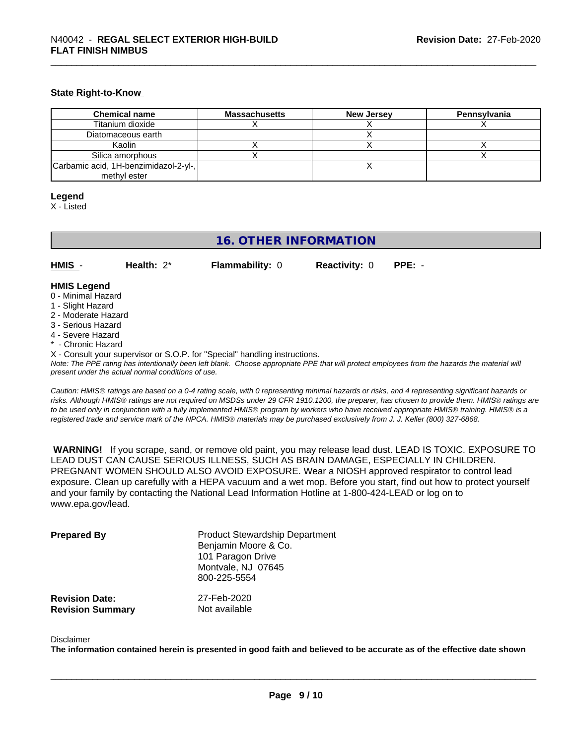#### **State Right-to-Know**

| <b>Chemical name</b>                  | <b>Massachusetts</b> | <b>New Jersey</b> | Pennsylvania |
|---------------------------------------|----------------------|-------------------|--------------|
| Titanium dioxide                      |                      |                   |              |
| Diatomaceous earth                    |                      |                   |              |
| Kaolin                                |                      |                   |              |
| Silica amorphous                      |                      |                   |              |
| Carbamic acid, 1H-benzimidazol-2-yl-, |                      |                   |              |
| methyl ester                          |                      |                   |              |

#### **Legend**

X - Listed

## **16. OTHER INFORMATION**

**HMIS** - **Health:** 2\* **Flammability:** 0 **Reactivity:** 0 **PPE:** -

#### **HMIS Legend**

- 0 Minimal Hazard
- 1 Slight Hazard
- 2 Moderate Hazard
- 3 Serious Hazard
- 4 Severe Hazard
- \* Chronic Hazard
- X Consult your supervisor or S.O.P. for "Special" handling instructions.

*Note: The PPE rating has intentionally been left blank. Choose appropriate PPE that will protect employees from the hazards the material will present under the actual normal conditions of use.*

*Caution: HMISÒ ratings are based on a 0-4 rating scale, with 0 representing minimal hazards or risks, and 4 representing significant hazards or risks. Although HMISÒ ratings are not required on MSDSs under 29 CFR 1910.1200, the preparer, has chosen to provide them. HMISÒ ratings are to be used only in conjunction with a fully implemented HMISÒ program by workers who have received appropriate HMISÒ training. HMISÒ is a registered trade and service mark of the NPCA. HMISÒ materials may be purchased exclusively from J. J. Keller (800) 327-6868.*

 **WARNING!** If you scrape, sand, or remove old paint, you may release lead dust. LEAD IS TOXIC. EXPOSURE TO LEAD DUST CAN CAUSE SERIOUS ILLNESS, SUCH AS BRAIN DAMAGE, ESPECIALLY IN CHILDREN. PREGNANT WOMEN SHOULD ALSO AVOID EXPOSURE.Wear a NIOSH approved respirator to control lead exposure. Clean up carefully with a HEPA vacuum and a wet mop. Before you start, find out how to protect yourself and your family by contacting the National Lead Information Hotline at 1-800-424-LEAD or log on to www.epa.gov/lead.

| <b>Prepared By</b>      | <b>Product Stewardship Department</b><br>Benjamin Moore & Co.<br>101 Paragon Drive<br>Montvale, NJ 07645<br>800-225-5554 |
|-------------------------|--------------------------------------------------------------------------------------------------------------------------|
| <b>Revision Date:</b>   | 27-Feb-2020                                                                                                              |
| <b>Revision Summary</b> | Not available                                                                                                            |

#### Disclaimer

The information contained herein is presented in good faith and believed to be accurate as of the effective date shown